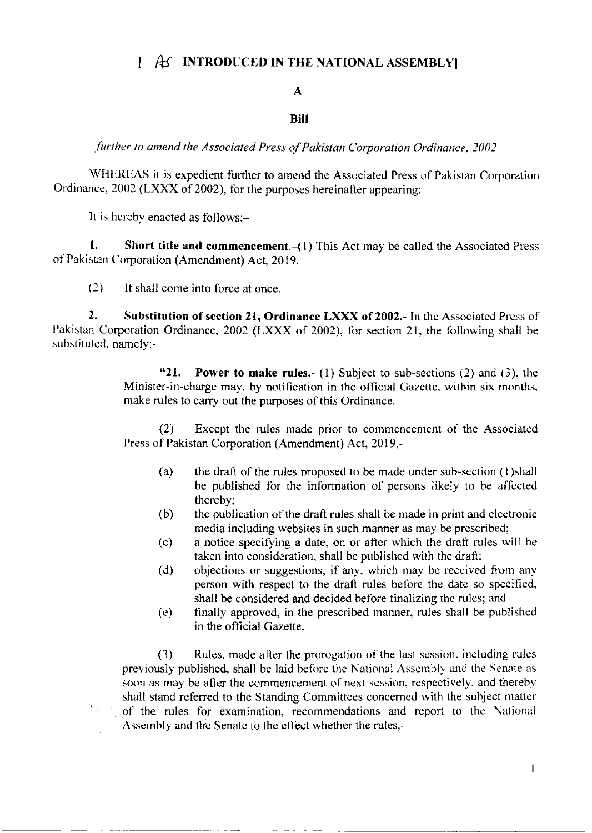# $\left[\begin{array}{cc} A' \end{array}\right]$  INTRODUCED IN THE NATIONAL ASSEMBLY

### A

### Bill

further to amend the Associated Press of Pakistan Corporation Ordinance, 2002

WHEREAS it is expedient further to amend the Associated Press of Pakistan Corporation Ordinance. 2002 (LXXX of 2002), for the purposes hereinafter appearing;

It is hereby enacted as follows: $-$ 

1. Short title and commencement. $-(1)$  This Act may be called the Associated Press of Pakistan Corporation (Amendment) Act, 2019.

(2) It shall come into force at once.

2. Substitution of section 21, Ordinance LXXX of 2002.- In the Associated Press of Pakistan Corporation Ordinance, 2002 (LXXX of 2002), for section 21, the following shall be substituted. namely:-

> "21. Power to make rules.- (1) Subject to sub-sections (2) and (3), the Minister-in-charge may, by notification in the official Gazette, within six months. make rules to carry out the purposes of this Ordinance.

> (2) Except the rules made prior to commencement of the Associated Press of Pakistan Corporation (Amendment) Act, 2019,-

- (a) the draft of the rules proposed to be made under sub-section (l)shall be published for the information of persons likely to be affected thereby;
- (b) the publication of the drafl rules shall be made in print and electronic media including websites in such manner as may be prescribed;
- (c) a notice spccilying a date, on or after which the draft rules will be taken into consideration, shall be published with the draft;
- (d) objections or suggestions, if any, which may be received from any person with respect to the draft rules before the date so specified, shall be considered and decided before finalizing the rules; and
- (e) finally approved, in the prescribed rnanner, rules shall be published in the official Gazette.

(3) Rules, made after the prorogation of the last scssion, including rules previously published, shall be laid before the National Assembly and the Senate as soon as may be after the commencement of next session, respectively, and thereby shall stand referred to the Standing Committees concerned with the subject matter of the rules for examination, recommendations and report to thc National Assembly and the Senate to the effect whether the rules,-

 $\mathbf{1}$